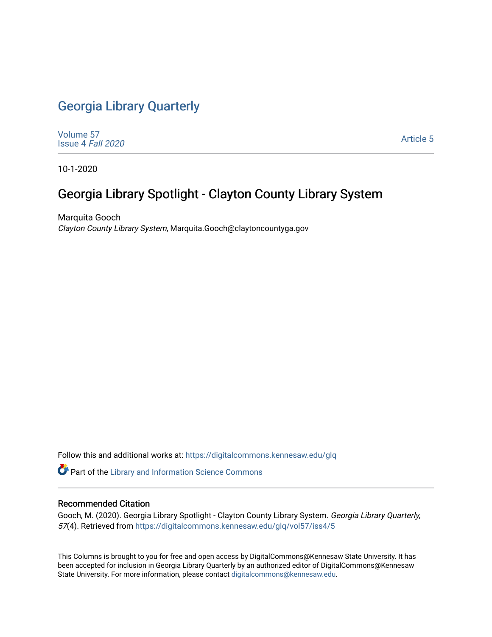## [Georgia Library Quarterly](https://digitalcommons.kennesaw.edu/glq)

[Volume 57](https://digitalcommons.kennesaw.edu/glq/vol57) [Issue 4](https://digitalcommons.kennesaw.edu/glq/vol57/iss4) Fall 2020

[Article 5](https://digitalcommons.kennesaw.edu/glq/vol57/iss4/5) 

10-1-2020

## Georgia Library Spotlight - Clayton County Library System

Marquita Gooch Clayton County Library System, Marquita.Gooch@claytoncountyga.gov

Follow this and additional works at: [https://digitalcommons.kennesaw.edu/glq](https://digitalcommons.kennesaw.edu/glq?utm_source=digitalcommons.kennesaw.edu%2Fglq%2Fvol57%2Fiss4%2F5&utm_medium=PDF&utm_campaign=PDFCoverPages) 

Part of the [Library and Information Science Commons](http://network.bepress.com/hgg/discipline/1018?utm_source=digitalcommons.kennesaw.edu%2Fglq%2Fvol57%2Fiss4%2F5&utm_medium=PDF&utm_campaign=PDFCoverPages) 

#### Recommended Citation

Gooch, M. (2020). Georgia Library Spotlight - Clayton County Library System. Georgia Library Quarterly, 57(4). Retrieved from [https://digitalcommons.kennesaw.edu/glq/vol57/iss4/5](https://digitalcommons.kennesaw.edu/glq/vol57/iss4/5?utm_source=digitalcommons.kennesaw.edu%2Fglq%2Fvol57%2Fiss4%2F5&utm_medium=PDF&utm_campaign=PDFCoverPages)

This Columns is brought to you for free and open access by DigitalCommons@Kennesaw State University. It has been accepted for inclusion in Georgia Library Quarterly by an authorized editor of DigitalCommons@Kennesaw State University. For more information, please contact [digitalcommons@kennesaw.edu.](mailto:digitalcommons@kennesaw.edu)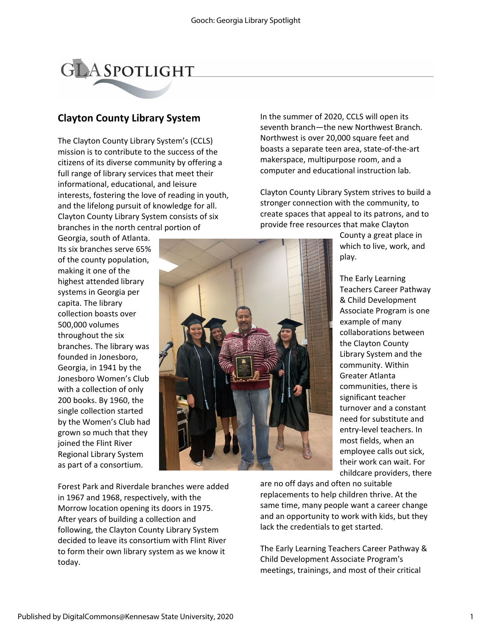# **GLASPOTLIGHT**

### **Clayton County Library System**

The Clayton County Library System's (CCLS) mission is to contribute to the success of the citizens of its diverse community by offering a full range of library services that meet their informational, educational, and leisure interests, fostering the love of reading in youth, and the lifelong pursuit of knowledge for all. Clayton County Library System consists of six branches in the north central portion of

Georgia, south of Atlanta. Its six branches serve 65% of the county population, making it one of the highest attended library systems in Georgia per capita. The library collection boasts over 500,000 volumes throughout the six branches. The library was founded in Jonesboro, Georgia, in 1941 by the Jonesboro Women's Club with a collection of only 200 books. By 1960, the single collection started by the Women's Club had grown so much that they joined the Flint River Regional Library System as part of a consortium.

In the summer of 2020, CCLS will open its seventh branch—the new Northwest Branch. Northwest is over 20,000 square feet and boasts a separate teen area, state-of-the-art makerspace, multipurpose room, and a computer and educational instruction lab.

Clayton County Library System strives to build a stronger connection with the community, to create spaces that appeal to its patrons, and to provide free resources that make Clayton

> County a great place in which to live, work, and play.

The Early Learning Teachers Career Pathway & Child Development Associate Program is one example of many collaborations between the Clayton County Library System and the community. Within Greater Atlanta communities, there is significant teacher turnover and a constant need for substitute and entry-level teachers. In most fields, when an employee calls out sick, their work can wait. For childcare providers, there

Forest Park and Riverdale branches were added in 1967 and 1968, respectively, with the Morrow location opening its doors in 1975. After years of building a collection and following, the Clayton County Library System decided to leave its consortium with Flint River to form their own library system as we know it today.

are no off days and often no suitable replacements to help children thrive. At the same time, many people want a career change and an opportunity to work with kids, but they lack the credentials to get started.

The Early Learning Teachers Career Pathway & Child Development Associate Program's meetings, trainings, and most of their critical